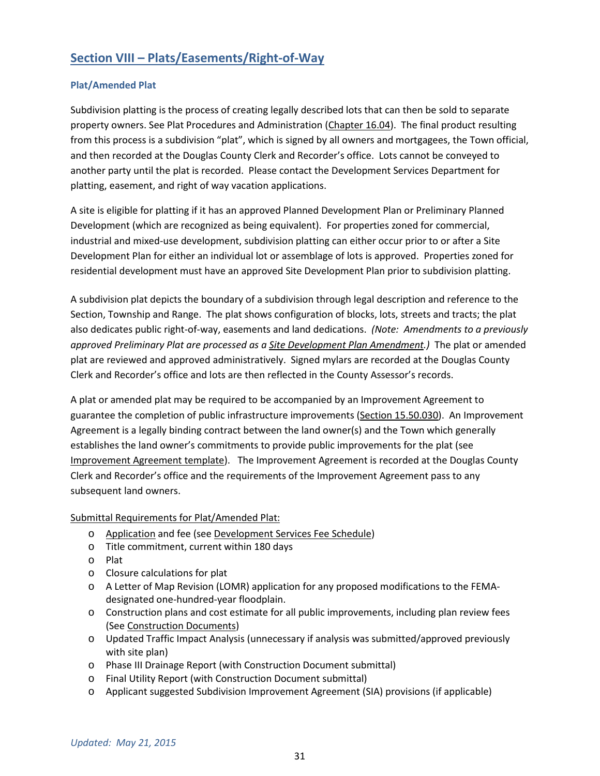# **Section VIII – Plats/Easements/Right-of-Way**

# **Plat/Amended Plat**

Subdivision platting is the process of creating legally described lots that can then be sold to separate property owners. See Plat Procedures and Administration (Chapter 16.04). The final product resulting from this process is a subdivision "plat", which is signed by all owners and mortgagees, the Town official, and then recorded at the Douglas County Clerk and Recorder's office. Lots cannot be conveyed to another party until the plat is recorded. Please contact the Development Services Department for platting, easement, and right of way vacation applications.

A site is eligible for platting if it has an approved Planned Development Plan or Preliminary Planned Development (which are recognized as being equivalent). For properties zoned for commercial, industrial and mixed-use development, subdivision platting can either occur prior to or after a Site Development Plan for either an individual lot or assemblage of lots is approved. Properties zoned for residential development must have an approved Site Development Plan prior to subdivision platting.

A subdivision plat depicts the boundary of a subdivision through legal description and reference to the Section, Township and Range. The plat shows configuration of blocks, lots, streets and tracts; the plat also dedicates public right-of-way, easements and land dedications. *(Note: Amendments to a previously approved Preliminary Plat are processed as a Site Development Plan Amendment.)* The plat or amended plat are reviewed and approved administratively. Signed mylars are recorded at the Douglas County Clerk and Recorder's office and lots are then reflected in the County Assessor's records.

A plat or amended plat may be required to be accompanied by an Improvement Agreement to guarantee the completion of public infrastructure improvements (Section 15.50.030). An Improvement Agreement is a legally binding contract between the land owner(s) and the Town which generally establishes the land owner's commitments to provide public improvements for the plat (see Improvement Agreement template). The Improvement Agreement is recorded at the Douglas County Clerk and Recorder's office and the requirements of the Improvement Agreement pass to any subsequent land owners.

## Submittal Requirements for Plat/Amended Plat:

- o Application and fee (see Development Services Fee Schedule)
- o Title commitment, current within 180 days
- o Plat
- o Closure calculations for plat
- o A Letter of Map Revision (LOMR) application for any proposed modifications to the FEMAdesignated one-hundred-year floodplain.
- o Construction plans and cost estimate for all public improvements, including plan review fees (See Construction Documents)
- o Updated Traffic Impact Analysis (unnecessary if analysis was submitted/approved previously with site plan)
- o Phase III Drainage Report (with Construction Document submittal)
- o Final Utility Report (with Construction Document submittal)
- o Applicant suggested Subdivision Improvement Agreement (SIA) provisions (if applicable)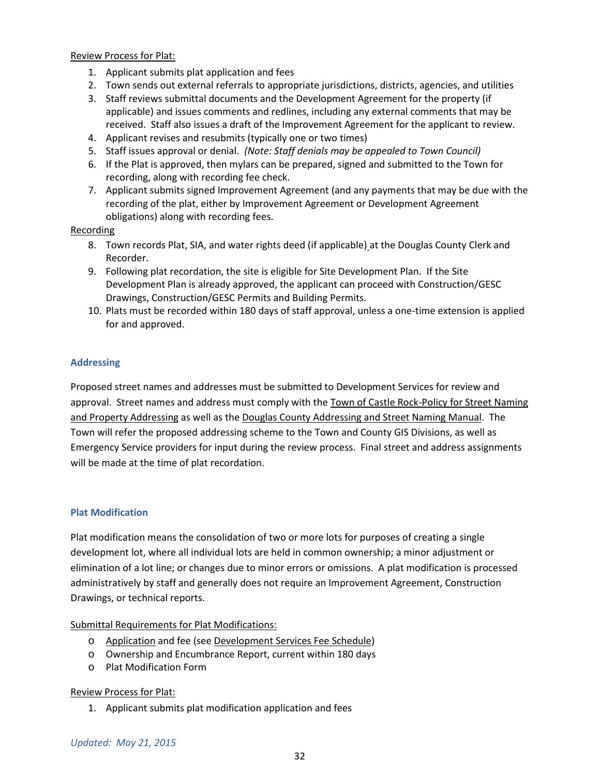Review Process for Plat:

- 1. Applicant submits plat application and fees
- 2. Town sends out external referrals to appropriate jurisdictions, districts, agencies, and utilities
- 3. Staff reviews submittal documents and the Development Agreement for the property (if applicable) and issues comments and redlines, including any external comments that may be received. Staff also issues a draft of the Improvement Agreement for the applicant to review.
- 4. Applicant revises and resubmits (typically one or two times)
- 5. Staff issues approval or denial. *(Note: Staff denials may be appealed to Town Council)*
- 6. If the Plat is approved, then mylars can be prepared, signed and submitted to the Town for recording, along with recording fee check.
- 7. Applicant submits signed Improvement Agreement (and any payments that may be due with the recording of the plat, either by Improvement Agreement or Development Agreement obligations) along with recording fees.

## Recording

- 8. Town records Plat, SIA, and water rights deed (if applicable) at the Douglas County Clerk and Recorder.
- 9. Following plat recordation, the site is eligible for Site Development Plan. If the Site Development Plan is already approved, the applicant can proceed with Construction/GESC Drawings, Construction/GESC Permits and Building Permits.
- 10. Plats must be recorded within 180 days of staff approval, unless a one-time extension is applied for and approved.

## **Addressing**

Proposed street names and addresses must be submitted to Development Services for review and approval. Street names and address must comply with the Town of Castle Rock-Policy for Street Naming and Property Addressing as well as the Douglas County Addressing and Street Naming Manual. The Town will refer the proposed addressing scheme to the Town and County GIS Divisions, as well as Emergency Service providers for input during the review process. Final street and address assignments will be made at the time of plat recordation.

## **Plat Modification**

Plat modification means the consolidation of two or more lots for purposes of creating a single development lot, where all individual lots are held in common ownership; a minor adjustment or elimination of a lot line; or changes due to minor errors or omissions. A plat modification is processed administratively by staff and generally does not require an Improvement Agreement, Construction Drawings, or technical reports.

## Submittal Requirements for Plat Modifications:

- o Application and fee (see Development Services Fee Schedule)
- o Ownership and Encumbrance Report, current within 180 days
- o Plat Modification Form

## Review Process for Plat:

1. Applicant submits plat modification application and fees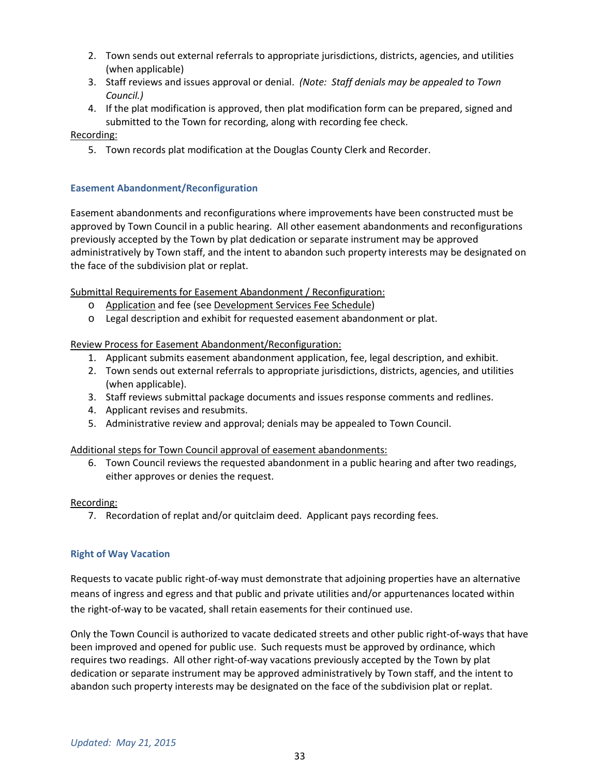- 2. Town sends out external referrals to appropriate jurisdictions, districts, agencies, and utilities (when applicable)
- 3. Staff reviews and issues approval or denial. *(Note: Staff denials may be appealed to Town Council.)*
- 4. If the plat modification is approved, then plat modification form can be prepared, signed and submitted to the Town for recording, along with recording fee check.

Recording:

5. Town records plat modification at the Douglas County Clerk and Recorder.

# **Easement Abandonment/Reconfiguration**

Easement abandonments and reconfigurations where improvements have been constructed must be approved by Town Council in a public hearing. All other easement abandonments and reconfigurations previously accepted by the Town by plat dedication or separate instrument may be approved administratively by Town staff, and the intent to abandon such property interests may be designated on the face of the subdivision plat or replat.

Submittal Requirements for Easement Abandonment / Reconfiguration:

- o Application and fee (see Development Services Fee Schedule)
- o Legal description and exhibit for requested easement abandonment or plat.

# Review Process for Easement Abandonment/Reconfiguration:

- 1. Applicant submits easement abandonment application, fee, legal description, and exhibit.
- 2. Town sends out external referrals to appropriate jurisdictions, districts, agencies, and utilities (when applicable).
- 3. Staff reviews submittal package documents and issues response comments and redlines.
- 4. Applicant revises and resubmits.
- 5. Administrative review and approval; denials may be appealed to Town Council.

## Additional steps for Town Council approval of easement abandonments:

6. Town Council reviews the requested abandonment in a public hearing and after two readings, either approves or denies the request.

## Recording:

7. Recordation of replat and/or quitclaim deed. Applicant pays recording fees.

## **Right of Way Vacation**

Requests to vacate public right-of-way must demonstrate that adjoining properties have an alternative means of ingress and egress and that public and private utilities and/or appurtenances located within the right-of-way to be vacated, shall retain easements for their continued use.

Only the Town Council is authorized to vacate dedicated streets and other public right-of-ways that have been improved and opened for public use. Such requests must be approved by ordinance, which requires two readings. All other right-of-way vacations previously accepted by the Town by plat dedication or separate instrument may be approved administratively by Town staff, and the intent to abandon such property interests may be designated on the face of the subdivision plat or replat.